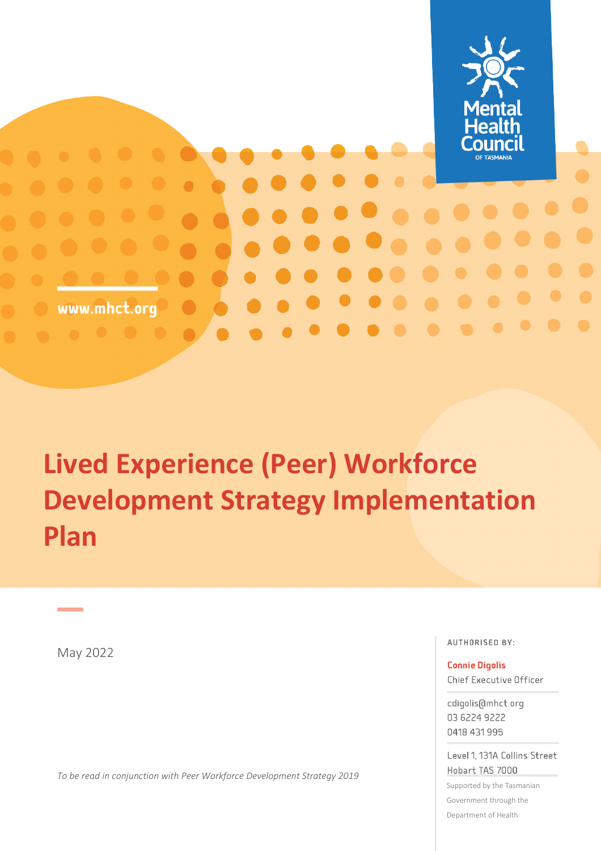

# **Lived Experience (Peer) Workforce Development Strategy Implementation Plan**

May 2022

*To be read in conjunction with Peer Workforce Development Strategy 2019* 

**AUTHORISED BY:** 

**Connie Digolis** 

Chief Executive Officer

cdigolis@mhct.org 03 6224 9222 0418 431 995

Level 1, 131A Collins Street Hobart TAS 7000

Supported by the Tasmanian Government through the Department of Health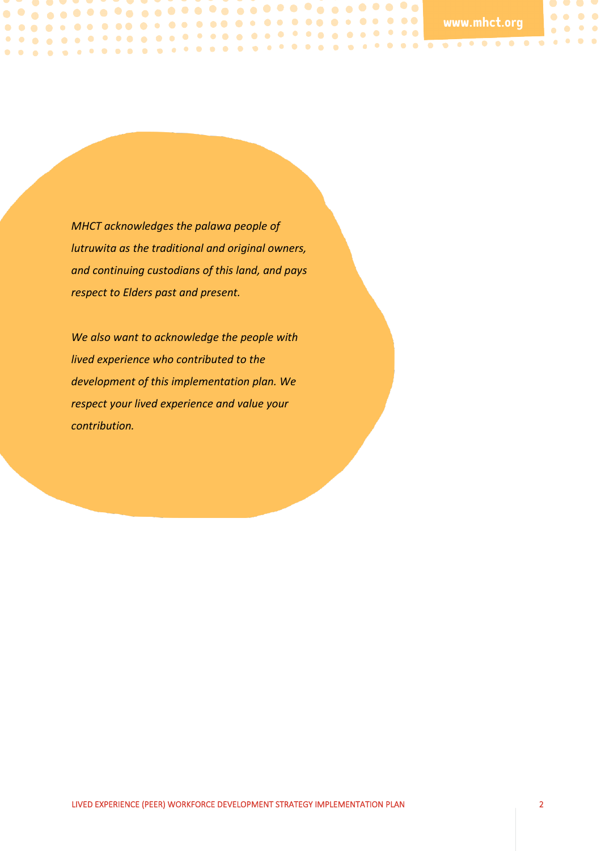$\bullet$   $\bullet$  $\bullet\bullet\bullet\bullet$ 

 $\bullet\quad \bullet\quad \bullet\quad \bullet$ 

*MHCT acknowledges the palawa people of lutruwita as the traditional and original owners, and continuing custodians of this land, and pays respect to Elders past and present.*

. . . .

*We also want to acknowledge the people with lived experience who contributed to the development of this implementation plan. We respect your lived experience and value your contribution.*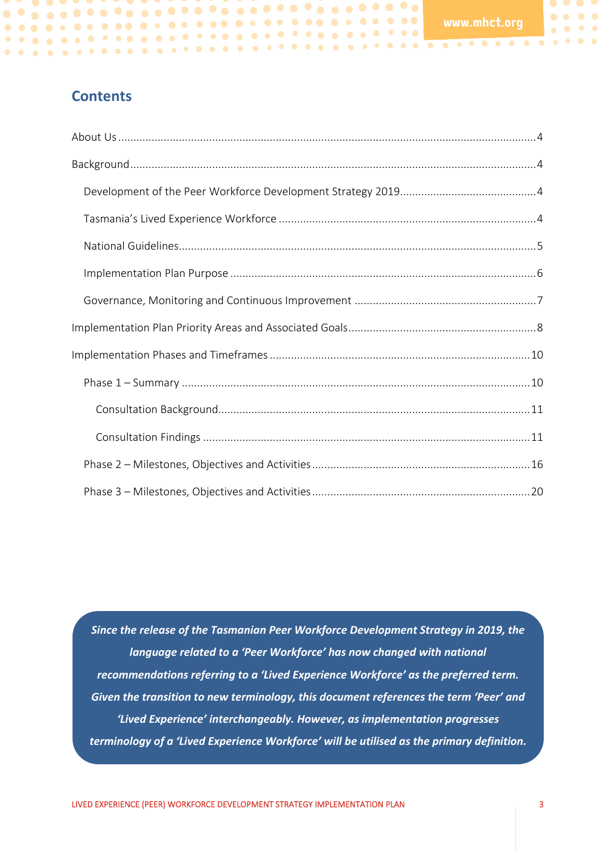$\bullet$   $\bullet$   $\bullet$  $\bullet\bullet\bullet\bullet$ 

 $\bullet\quad \bullet\quad \bullet\quad \bullet$ 

# **Contents**

. . . .

*Since the release of the Tasmanian Peer Workforce Development Strategy in 2019, the language related to a 'Peer Workforce' has now changed with national recommendations referring to a 'Lived Experience Workforce' as the preferred term. Given the transition to new terminology, this document references the term 'Peer' and 'Lived Experience' interchangeably. However, as implementation progresses terminology of a 'Lived Experience Workforce' will be utilised as the primary definition.*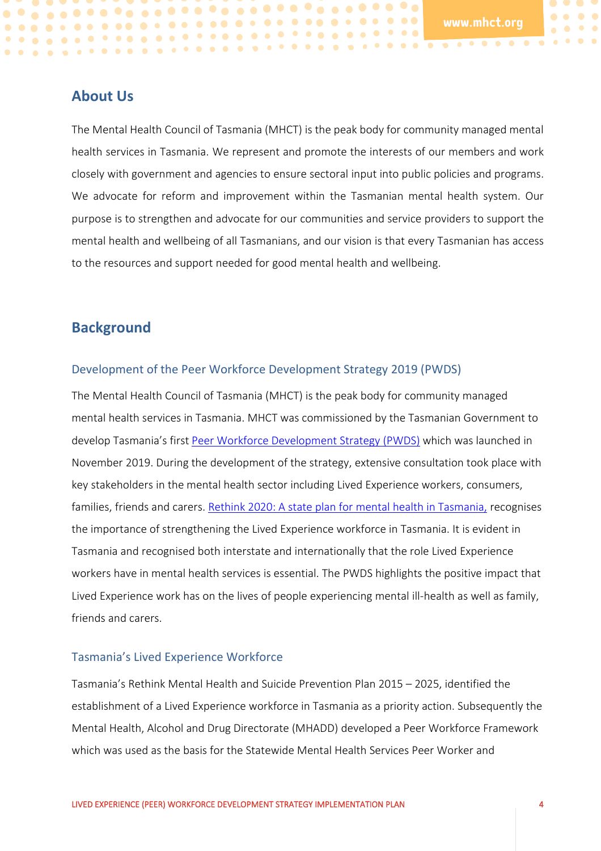$\bullet$ 

 $\bullet\quadbullet$ 

## <span id="page-3-0"></span>**About Us**

The Mental Health Council of Tasmania (MHCT) is the peak body for community managed mental health services in Tasmania. We represent and promote the interests of our members and work closely with government and agencies to ensure sectoral input into public policies and programs. We advocate for reform and improvement within the Tasmanian mental health system. Our purpose is to strengthen and advocate for our communities and service providers to support the mental health and wellbeing of all Tasmanians, and our vision is that every Tasmanian has access to the resources and support needed for good mental health and wellbeing.

# <span id="page-3-1"></span>**Background**

#### <span id="page-3-2"></span>Development of the Peer Workforce Development Strategy 2019 (PWDS)

The Mental Health Council of Tasmania (MHCT) is the peak body for community managed mental health services in Tasmania. MHCT was commissioned by the Tasmanian Government to develop Tasmania's first [Peer Workforce Development Strategy \(PWDS\)](https://mhct.org/wp-content/uploads/2019/11/MHCT_PWDS-Web.pdf) which was launched in November 2019. During the development of the strategy, extensive consultation took place with key stakeholders in the mental health sector including Lived Experience workers, consumers, families, friends and carers. [Rethink 2020: A state plan for mental health in Tasmania,](https://www.health.tas.gov.au/sites/default/files/2021-12/Rethink_2020_state_plan_2020-25_DoHTasmania.pdf) recognises the importance of strengthening the Lived Experience workforce in Tasmania. It is evident in Tasmania and recognised both interstate and internationally that the role Lived Experience workers have in mental health services is essential. The PWDS highlights the positive impact that Lived Experience work has on the lives of people experiencing mental ill-health as well as family, friends and carers.

#### <span id="page-3-3"></span>Tasmania's Lived Experience Workforce

Tasmania's Rethink Mental Health and Suicide Prevention Plan 2015 – 2025, identified the establishment of a Lived Experience workforce in Tasmania as a priority action. Subsequently the Mental Health, Alcohol and Drug Directorate (MHADD) developed a Peer Workforce Framework which was used as the basis for the Statewide Mental Health Services Peer Worker and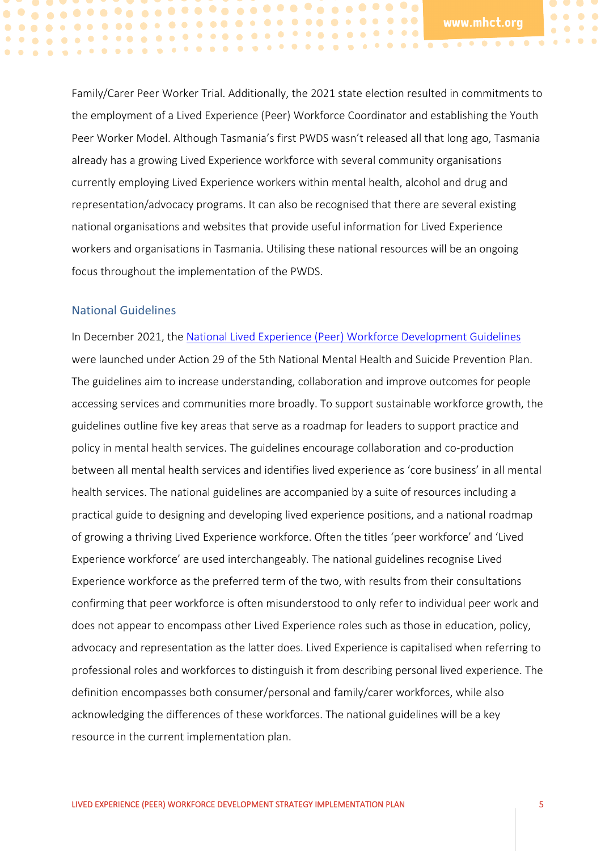$\bullet$ 

 $\bullet$ 

 $\bullet$ 

Family/Carer Peer Worker Trial. Additionally, the 2021 state election resulted in commitments to the employment of a Lived Experience (Peer) Workforce Coordinator and establishing the Youth Peer Worker Model. Although Tasmania's first PWDS wasn't released all that long ago, Tasmania already has a growing Lived Experience workforce with several community organisations currently employing Lived Experience workers within mental health, alcohol and drug and representation/advocacy programs. It can also be recognised that there are several existing national organisations and websites that provide useful information for Lived Experience workers and organisations in Tasmania. Utilising these national resources will be an ongoing focus throughout the implementation of the PWDS.

#### <span id="page-4-0"></span>National Guidelines

In December 2021, the [National Lived Experience \(Peer\) Workforce Development Guidelines](https://www.mentalhealthcommission.gov.au/getmedia/a33cce2a-e7fa-4f90-964d-85dbf1514b6b/NMHC_Lived-Experience-Workforce-Development-Guidelines) were launched under Action 29 of the 5th National Mental Health and Suicide Prevention Plan. The guidelines aim to increase understanding, collaboration and improve outcomes for people accessing services and communities more broadly. To support sustainable workforce growth, the guidelines outline five key areas that serve as a roadmap for leaders to support practice and policy in mental health services. The guidelines encourage collaboration and co-production between all mental health services and identifies lived experience as 'core business' in all mental health services. The national guidelines are accompanied by a suite of resources including a practical guide to designing and developing lived experience positions, and a national roadmap of growing a thriving Lived Experience workforce. Often the titles 'peer workforce' and 'Lived Experience workforce' are used interchangeably. The national guidelines recognise Lived Experience workforce as the preferred term of the two, with results from their consultations confirming that peer workforce is often misunderstood to only refer to individual peer work and does not appear to encompass other Lived Experience roles such as those in education, policy, advocacy and representation as the latter does. Lived Experience is capitalised when referring to professional roles and workforces to distinguish it from describing personal lived experience. The definition encompasses both consumer/personal and family/carer workforces, while also acknowledging the differences of these workforces. The national guidelines will be a key resource in the current implementation plan.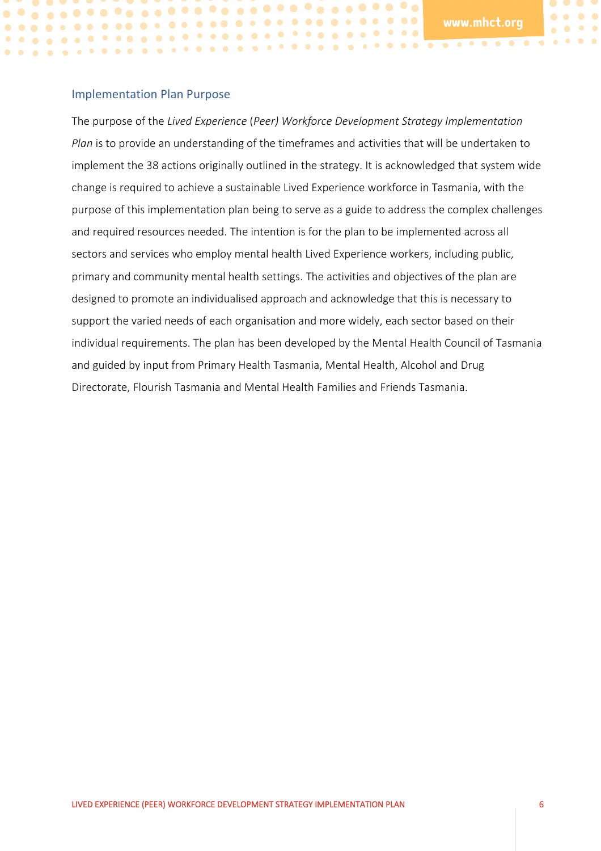$\bullet$ 

 $\bullet$ 

#### <span id="page-5-0"></span>Implementation Plan Purpose

The purpose of the *Lived Experience* (*Peer) Workforce Development Strategy Implementation Plan* is to provide an understanding of the timeframes and activities that will be undertaken to implement the 38 actions originally outlined in the strategy. It is acknowledged that system wide change is required to achieve a sustainable Lived Experience workforce in Tasmania, with the purpose of this implementation plan being to serve as a guide to address the complex challenges and required resources needed. The intention is for the plan to be implemented across all sectors and services who employ mental health Lived Experience workers, including public, primary and community mental health settings. The activities and objectives of the plan are designed to promote an individualised approach and acknowledge that this is necessary to support the varied needs of each organisation and more widely, each sector based on their individual requirements. The plan has been developed by the Mental Health Council of Tasmania and guided by input from Primary Health Tasmania, Mental Health, Alcohol and Drug Directorate, Flourish Tasmania and Mental Health Families and Friends Tasmania.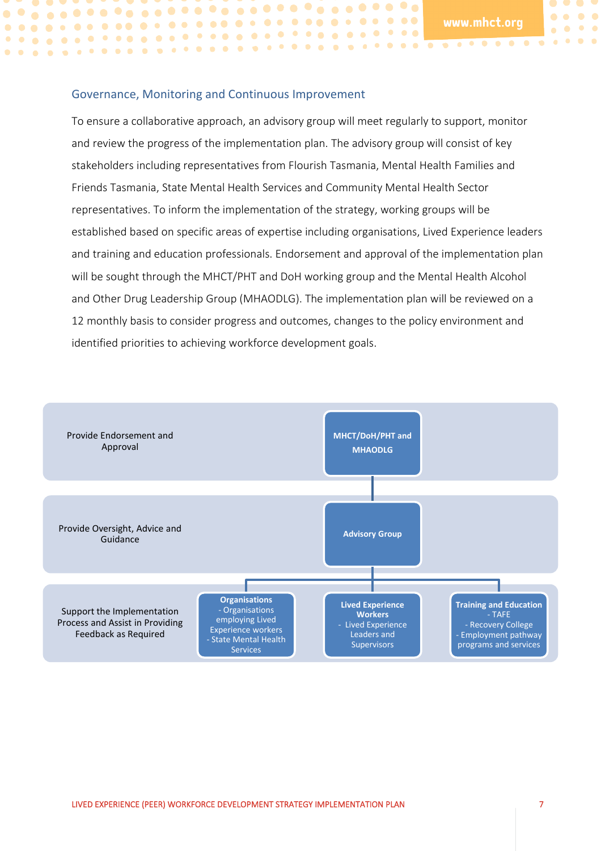$\bullet\hspace{0.1cm} \bullet\hspace{0.1cm}\bullet\hspace{0.1cm}\bullet\hspace{0.1cm}\bullet$ 

 $\bullet\quad \bullet\quad \bullet\quad \bullet$ 

#### <span id="page-6-0"></span>Governance, Monitoring and Continuous Improvement

To ensure a collaborative approach, an advisory group will meet regularly to support, monitor and review the progress of the implementation plan. The advisory group will consist of key stakeholders including representatives from Flourish Tasmania, Mental Health Families and Friends Tasmania, State Mental Health Services and Community Mental Health Sector representatives. To inform the implementation of the strategy, working groups will be established based on specific areas of expertise including organisations, Lived Experience leaders and training and education professionals. Endorsement and approval of the implementation plan will be sought through the MHCT/PHT and DoH working group and the Mental Health Alcohol and Other Drug Leadership Group (MHAODLG). The implementation plan will be reviewed on a 12 monthly basis to consider progress and outcomes, changes to the policy environment and identified priorities to achieving workforce development goals.

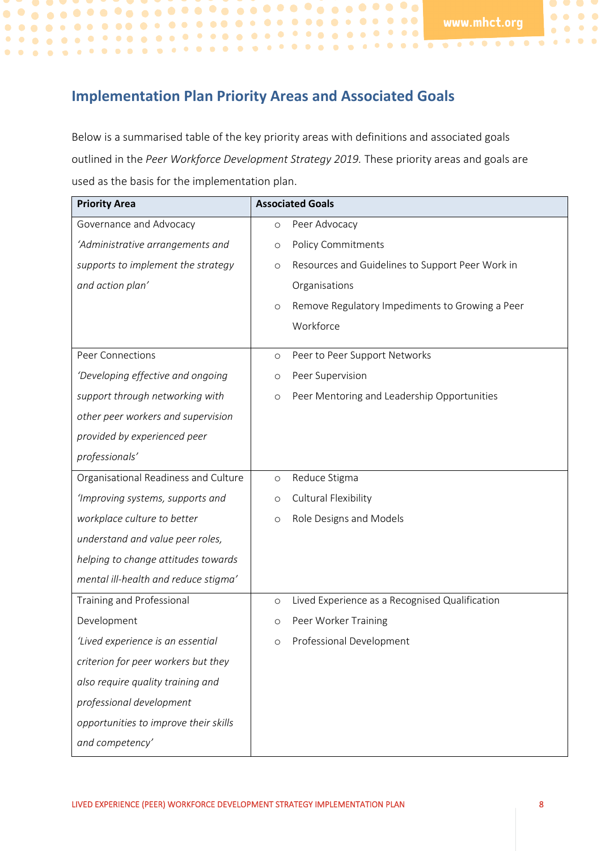$\bullet$   $\bullet$   $\bullet$  $\begin{array}{ccc} \bullet & \bullet & \bullet & \bullet \end{array}$ 

 $\bullet \quad \bullet \quad \bullet \quad \bullet$ 

# <span id="page-7-0"></span>**Implementation Plan Priority Areas and Associated Goals**

Below is a summarised table of the key priority areas with definitions and associated goals outlined in the *Peer Workforce Development Strategy 2019.* These priority areas and goals are used as the basis for the implementation plan.

| <b>Priority Area</b>                  | <b>Associated Goals</b>                                     |  |
|---------------------------------------|-------------------------------------------------------------|--|
| Governance and Advocacy               | Peer Advocacy<br>$\circ$                                    |  |
| 'Administrative arrangements and      | <b>Policy Commitments</b><br>O                              |  |
| supports to implement the strategy    | Resources and Guidelines to Support Peer Work in<br>$\circ$ |  |
| and action plan'                      | Organisations                                               |  |
|                                       | Remove Regulatory Impediments to Growing a Peer<br>$\circ$  |  |
|                                       | Workforce                                                   |  |
| <b>Peer Connections</b>               | Peer to Peer Support Networks<br>$\circ$                    |  |
| 'Developing effective and ongoing     | Peer Supervision<br>O                                       |  |
| support through networking with       | Peer Mentoring and Leadership Opportunities<br>$\circ$      |  |
| other peer workers and supervision    |                                                             |  |
| provided by experienced peer          |                                                             |  |
| professionals'                        |                                                             |  |
| Organisational Readiness and Culture  | Reduce Stigma<br>$\circ$                                    |  |
| 'Improving systems, supports and      | Cultural Flexibility<br>O                                   |  |
| workplace culture to better           | Role Designs and Models<br>$\circ$                          |  |
| understand and value peer roles,      |                                                             |  |
| helping to change attitudes towards   |                                                             |  |
| mental ill-health and reduce stigma'  |                                                             |  |
| Training and Professional             | Lived Experience as a Recognised Qualification<br>$\circ$   |  |
| Development                           | Peer Worker Training<br>O                                   |  |
| 'Lived experience is an essential     | Professional Development<br>$\circ$                         |  |
| criterion for peer workers but they   |                                                             |  |
| also require quality training and     |                                                             |  |
| professional development              |                                                             |  |
| opportunities to improve their skills |                                                             |  |
| and competency'                       |                                                             |  |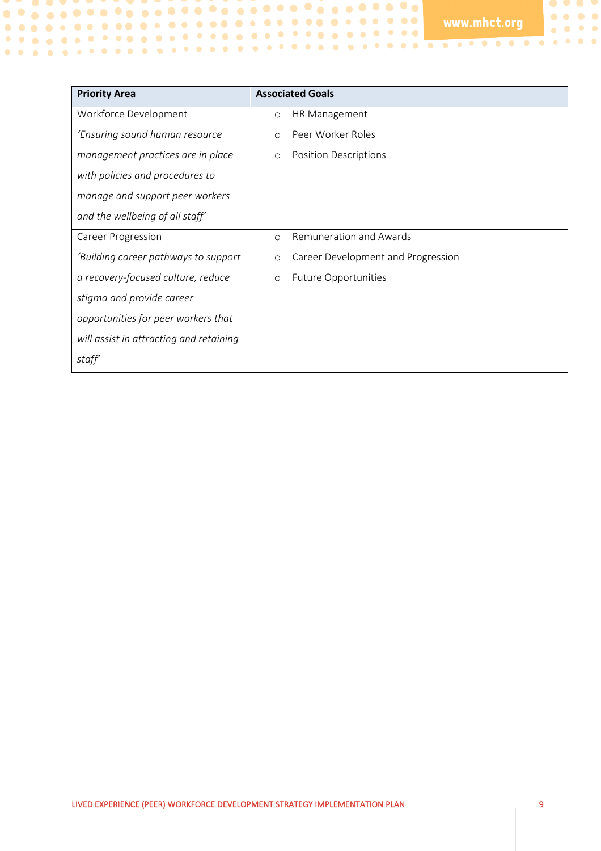$\bullet$   $\bullet$   $\bullet$  $\begin{array}{ccccc}\bullet&\bullet&\bullet&\bullet\end{array}$ 

 $\bullet\bullet\bullet\bullet$ 

| <b>Priority Area</b>                    | <b>Associated Goals</b>                       |  |
|-----------------------------------------|-----------------------------------------------|--|
| Workforce Development                   | HR Management<br>$\circ$                      |  |
| 'Ensuring sound human resource          | Peer Worker Roles<br>$\circ$                  |  |
| management practices are in place       | <b>Position Descriptions</b><br>$\circ$       |  |
| with policies and procedures to         |                                               |  |
| manage and support peer workers         |                                               |  |
| and the wellbeing of all staff'         |                                               |  |
| <b>Career Progression</b>               | Remuneration and Awards<br>$\circ$            |  |
| 'Building career pathways to support    | Career Development and Progression<br>$\circ$ |  |
| a recovery-focused culture, reduce      | <b>Future Opportunities</b><br>$\circ$        |  |
| stigma and provide career               |                                               |  |
| opportunities for peer workers that     |                                               |  |
| will assist in attracting and retaining |                                               |  |
| staff'                                  |                                               |  |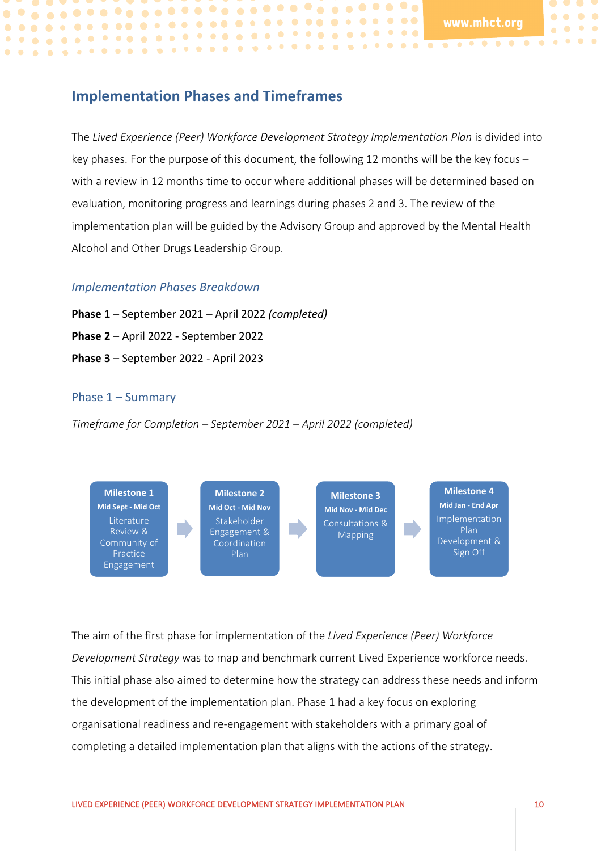**. . . . . . . . . . . . .** 

 $\bullet$   $\bullet$   $\bullet$   $\bullet$ 

 $\bullet\bullet$ 

 $\bullet$   $\bullet$ 

# <span id="page-9-0"></span>**Implementation Phases and Timeframes**

------------------------------

The *Lived Experience (Peer) Workforce Development Strategy Implementation Plan* is divided into key phases. For the purpose of this document, the following 12 months will be the key focus – with a review in 12 months time to occur where additional phases will be determined based on evaluation, monitoring progress and learnings during phases 2 and 3. The review of the implementation plan will be guided by the Advisory Group and approved by the Mental Health Alcohol and Other Drugs Leadership Group.

#### *Implementation Phases Breakdown*

**Phase 1** – September 2021 – April 2022 *(completed)* **Phase 2** – April 2022 - September 2022 **Phase 3** – September 2022 - April 2023

#### <span id="page-9-1"></span>Phase 1 – Summary

*Timeframe for Completion – September 2021 – April 2022 (completed)*



The aim of the first phase for implementation of the *Lived Experience (Peer) Workforce Development Strategy* was to map and benchmark current Lived Experience workforce needs. This initial phase also aimed to determine how the strategy can address these needs and inform the development of the implementation plan. Phase 1 had a key focus on exploring organisational readiness and re-engagement with stakeholders with a primary goal of completing a detailed implementation plan that aligns with the actions of the strategy.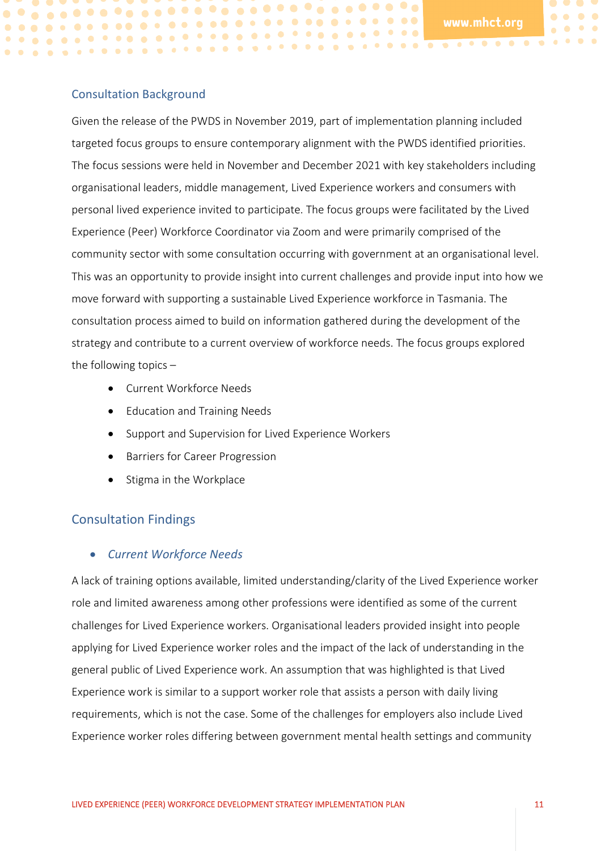$\bullet\quadbullet$ 

 $\bullet$ 

 $\bullet$ 

#### <span id="page-10-0"></span>Consultation Background

 $\bullet$ 

Given the release of the PWDS in November 2019, part of implementation planning included targeted focus groups to ensure contemporary alignment with the PWDS identified priorities. The focus sessions were held in November and December 2021 with key stakeholders including organisational leaders, middle management, Lived Experience workers and consumers with personal lived experience invited to participate. The focus groups were facilitated by the Lived Experience (Peer) Workforce Coordinator via Zoom and were primarily comprised of the community sector with some consultation occurring with government at an organisational level. This was an opportunity to provide insight into current challenges and provide input into how we move forward with supporting a sustainable Lived Experience workforce in Tasmania. The consultation process aimed to build on information gathered during the development of the strategy and contribute to a current overview of workforce needs. The focus groups explored the following topics  $-$ 

- Current Workforce Needs
- Education and Training Needs
- Support and Supervision for Lived Experience Workers
- Barriers for Career Progression
- Stigma in the Workplace

# <span id="page-10-1"></span>Consultation Findings

## • *Current Workforce Needs*

A lack of training options available, limited understanding/clarity of the Lived Experience worker role and limited awareness among other professions were identified as some of the current challenges for Lived Experience workers. Organisational leaders provided insight into people applying for Lived Experience worker roles and the impact of the lack of understanding in the general public of Lived Experience work. An assumption that was highlighted is that Lived Experience work is similar to a support worker role that assists a person with daily living requirements, which is not the case. Some of the challenges for employers also include Lived Experience worker roles differing between government mental health settings and community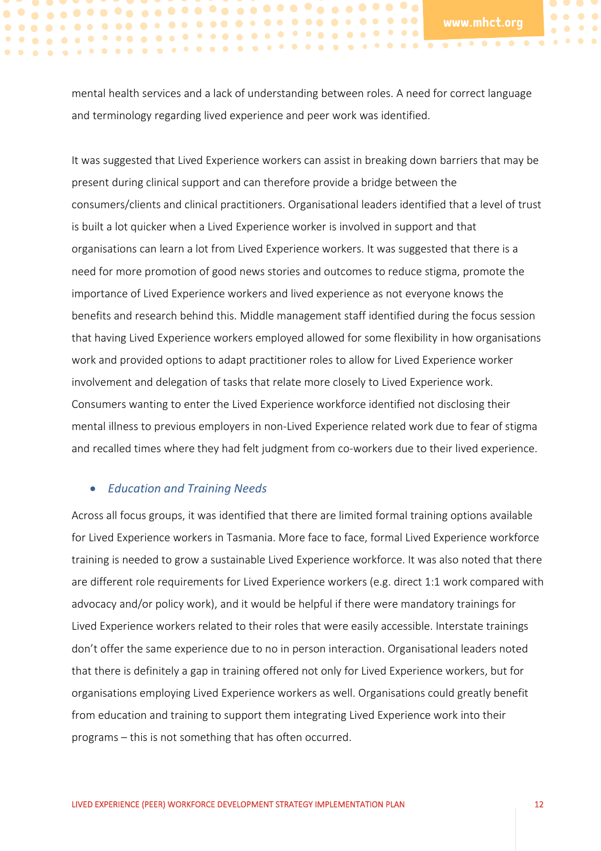$\bullet$  $\bullet\bullet$ 

mental health services and a lack of understanding between roles. A need for correct language and terminology regarding lived experience and peer work was identified.

------------------------------

It was suggested that Lived Experience workers can assist in breaking down barriers that may be present during clinical support and can therefore provide a bridge between the consumers/clients and clinical practitioners. Organisational leaders identified that a level of trust is built a lot quicker when a Lived Experience worker is involved in support and that organisations can learn a lot from Lived Experience workers. It was suggested that there is a need for more promotion of good news stories and outcomes to reduce stigma, promote the importance of Lived Experience workers and lived experience as not everyone knows the benefits and research behind this. Middle management staff identified during the focus session that having Lived Experience workers employed allowed for some flexibility in how organisations work and provided options to adapt practitioner roles to allow for Lived Experience worker involvement and delegation of tasks that relate more closely to Lived Experience work. Consumers wanting to enter the Lived Experience workforce identified not disclosing their mental illness to previous employers in non-Lived Experience related work due to fear of stigma and recalled times where they had felt judgment from co-workers due to their lived experience.

#### • *Education and Training Needs*

Across all focus groups, it was identified that there are limited formal training options available for Lived Experience workers in Tasmania. More face to face, formal Lived Experience workforce training is needed to grow a sustainable Lived Experience workforce. It was also noted that there are different role requirements for Lived Experience workers (e.g. direct 1:1 work compared with advocacy and/or policy work), and it would be helpful if there were mandatory trainings for Lived Experience workers related to their roles that were easily accessible. Interstate trainings don't offer the same experience due to no in person interaction. Organisational leaders noted that there is definitely a gap in training offered not only for Lived Experience workers, but for organisations employing Lived Experience workers as well. Organisations could greatly benefit from education and training to support them integrating Lived Experience work into their programs – this is not something that has often occurred.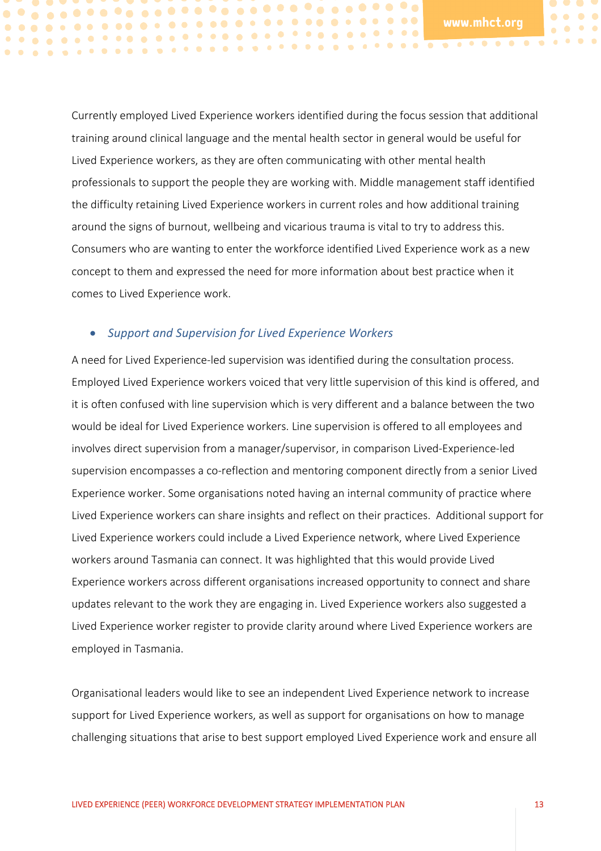$\bullet$ 

 $\bullet$   $\bullet$ 

Currently employed Lived Experience workers identified during the focus session that additional training around clinical language and the mental health sector in general would be useful for Lived Experience workers, as they are often communicating with other mental health professionals to support the people they are working with. Middle management staff identified the difficulty retaining Lived Experience workers in current roles and how additional training around the signs of burnout, wellbeing and vicarious trauma is vital to try to address this. Consumers who are wanting to enter the workforce identified Lived Experience work as a new concept to them and expressed the need for more information about best practice when it comes to Lived Experience work.

#### • *Support and Supervision for Lived Experience Workers*

A need for Lived Experience-led supervision was identified during the consultation process. Employed Lived Experience workers voiced that very little supervision of this kind is offered, and it is often confused with line supervision which is very different and a balance between the two would be ideal for Lived Experience workers. Line supervision is offered to all employees and involves direct supervision from a manager/supervisor, in comparison Lived-Experience-led supervision encompasses a co-reflection and mentoring component directly from a senior Lived Experience worker. Some organisations noted having an internal community of practice where Lived Experience workers can share insights and reflect on their practices. Additional support for Lived Experience workers could include a Lived Experience network, where Lived Experience workers around Tasmania can connect. It was highlighted that this would provide Lived Experience workers across different organisations increased opportunity to connect and share updates relevant to the work they are engaging in. Lived Experience workers also suggested a Lived Experience worker register to provide clarity around where Lived Experience workers are employed in Tasmania.

Organisational leaders would like to see an independent Lived Experience network to increase support for Lived Experience workers, as well as support for organisations on how to manage challenging situations that arise to best support employed Lived Experience work and ensure all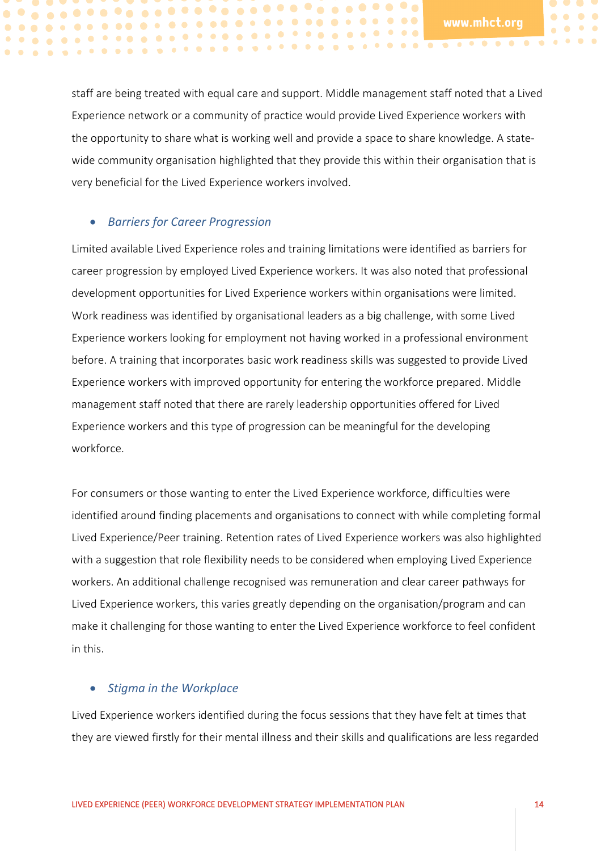$\bullet$ 

 $\bullet$   $\bullet$ 

staff are being treated with equal care and support. Middle management staff noted that a Lived Experience network or a community of practice would provide Lived Experience workers with the opportunity to share what is working well and provide a space to share knowledge. A statewide community organisation highlighted that they provide this within their organisation that is very beneficial for the Lived Experience workers involved.

#### • *Barriers for Career Progression*

------------------------------

Limited available Lived Experience roles and training limitations were identified as barriers for career progression by employed Lived Experience workers. It was also noted that professional development opportunities for Lived Experience workers within organisations were limited. Work readiness was identified by organisational leaders as a big challenge, with some Lived Experience workers looking for employment not having worked in a professional environment before. A training that incorporates basic work readiness skills was suggested to provide Lived Experience workers with improved opportunity for entering the workforce prepared. Middle management staff noted that there are rarely leadership opportunities offered for Lived Experience workers and this type of progression can be meaningful for the developing workforce.

For consumers or those wanting to enter the Lived Experience workforce, difficulties were identified around finding placements and organisations to connect with while completing formal Lived Experience/Peer training. Retention rates of Lived Experience workers was also highlighted with a suggestion that role flexibility needs to be considered when employing Lived Experience workers. An additional challenge recognised was remuneration and clear career pathways for Lived Experience workers, this varies greatly depending on the organisation/program and can make it challenging for those wanting to enter the Lived Experience workforce to feel confident in this.

#### • *Stigma in the Workplace*

Lived Experience workers identified during the focus sessions that they have felt at times that they are viewed firstly for their mental illness and their skills and qualifications are less regarded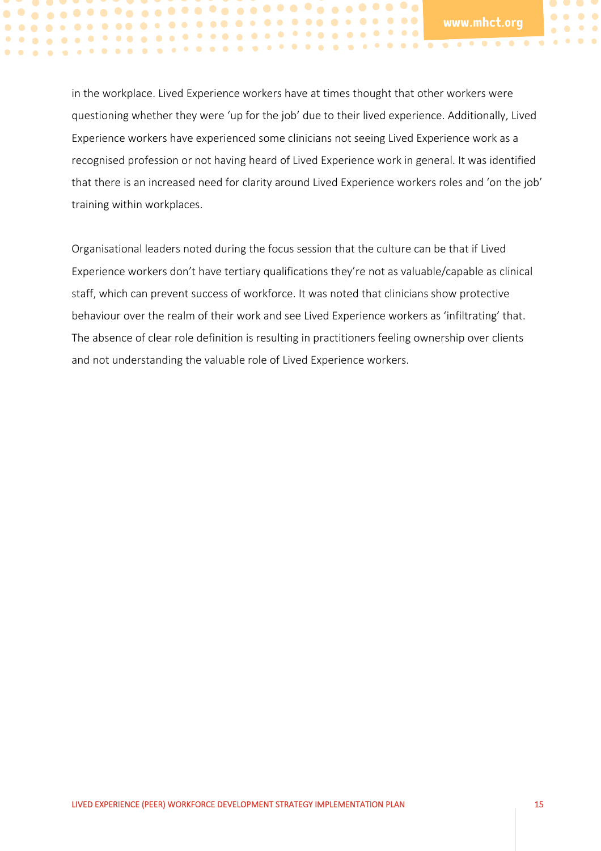$\bullet\quad \bullet\quad \bullet\quad \bullet$ 

in the workplace. Lived Experience workers have at times thought that other workers were questioning whether they were 'up for the job' due to their lived experience. Additionally, Lived Experience workers have experienced some clinicians not seeing Lived Experience work as a recognised profession or not having heard of Lived Experience work in general. It was identified that there is an increased need for clarity around Lived Experience workers roles and 'on the job' training within workplaces.

Organisational leaders noted during the focus session that the culture can be that if Lived Experience workers don't have tertiary qualifications they're not as valuable/capable as clinical staff, which can prevent success of workforce. It was noted that clinicians show protective behaviour over the realm of their work and see Lived Experience workers as 'infiltrating' that. The absence of clear role definition is resulting in practitioners feeling ownership over clients and not understanding the valuable role of Lived Experience workers.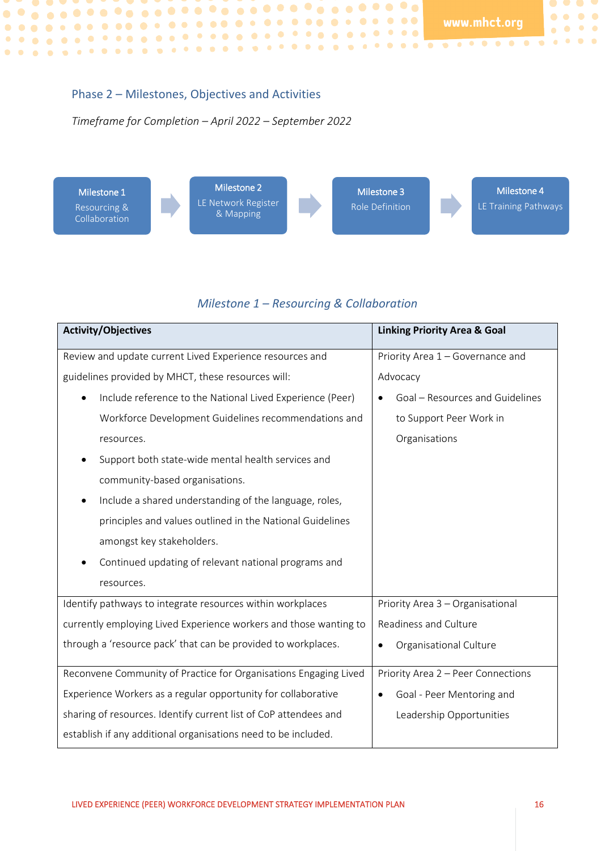$\bullet$   $\bullet$   $\bullet$  $\bullet\hspace{0.4mm}\bullet\hspace{0.4mm}\bullet\hspace{0.4mm}\bullet\hspace{0.4mm}\bullet$ 

 $\bullet \quad \bullet \quad \bullet \quad \bullet$ 

#### <span id="page-15-0"></span>Phase 2 – Milestones, Objectives and Activities

*Timeframe for Completion – April 2022 – September 2022*



## *Milestone 1 – Resourcing & Collaboration*

| <b>Activity/Objectives</b>                                        | <b>Linking Priority Area &amp; Goal</b> |
|-------------------------------------------------------------------|-----------------------------------------|
| Review and update current Lived Experience resources and          | Priority Area 1 - Governance and        |
| guidelines provided by MHCT, these resources will:                | Advocacy                                |
| Include reference to the National Lived Experience (Peer)         | Goal - Resources and Guidelines         |
| Workforce Development Guidelines recommendations and              | to Support Peer Work in                 |
| resources.                                                        | Organisations                           |
| Support both state-wide mental health services and                |                                         |
| community-based organisations.                                    |                                         |
| Include a shared understanding of the language, roles,<br>٠       |                                         |
| principles and values outlined in the National Guidelines         |                                         |
| amongst key stakeholders.                                         |                                         |
| Continued updating of relevant national programs and              |                                         |
| resources.                                                        |                                         |
| Identify pathways to integrate resources within workplaces        | Priority Area 3 - Organisational        |
| currently employing Lived Experience workers and those wanting to | Readiness and Culture                   |
| through a 'resource pack' that can be provided to workplaces.     | Organisational Culture                  |
| Reconvene Community of Practice for Organisations Engaging Lived  | Priority Area 2 - Peer Connections      |
| Experience Workers as a regular opportunity for collaborative     | Goal - Peer Mentoring and<br>$\bullet$  |
| sharing of resources. Identify current list of CoP attendees and  | Leadership Opportunities                |
| establish if any additional organisations need to be included.    |                                         |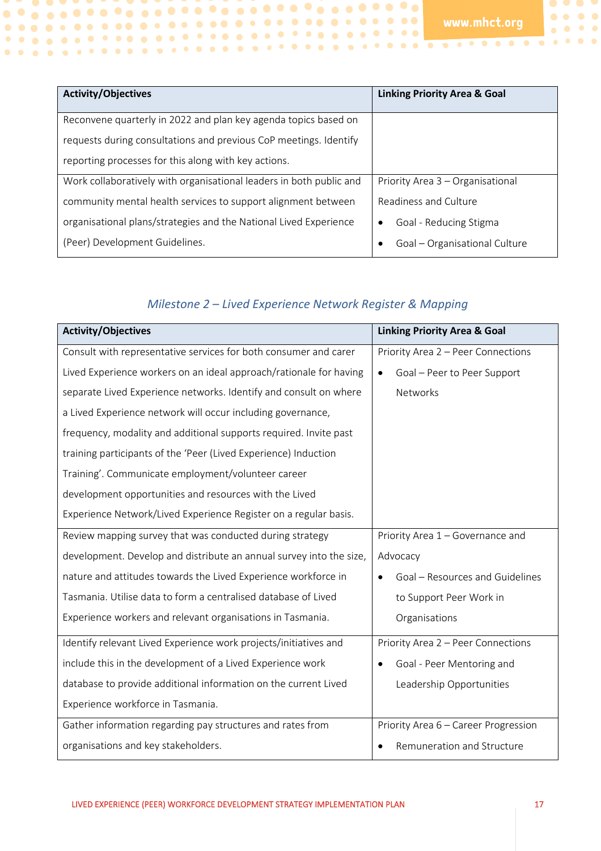$\bullet$   $\bullet$   $\bullet$  $\begin{array}{ccc} \bullet & \bullet & \bullet & \bullet \end{array}$ 

 $\begin{array}{ccccc}\bullet&\bullet&\bullet&\bullet\end{array}$ 

| <b>Activity/Objectives</b>                                          | <b>Linking Priority Area &amp; Goal</b> |
|---------------------------------------------------------------------|-----------------------------------------|
| Reconvene quarterly in 2022 and plan key agenda topics based on     |                                         |
| requests during consultations and previous CoP meetings. Identify   |                                         |
| reporting processes for this along with key actions.                |                                         |
| Work collaboratively with organisational leaders in both public and | Priority Area 3 - Organisational        |
| community mental health services to support alignment between       | Readiness and Culture                   |
| organisational plans/strategies and the National Lived Experience   | Goal - Reducing Stigma<br>٠             |
| (Peer) Development Guidelines.                                      | Goal - Organisational Culture           |

## *Milestone 2 – Lived Experience Network Register & Mapping*

| <b>Activity/Objectives</b>                                          | <b>Linking Priority Area &amp; Goal</b>  |
|---------------------------------------------------------------------|------------------------------------------|
| Consult with representative services for both consumer and carer    | Priority Area 2 - Peer Connections       |
| Lived Experience workers on an ideal approach/rationale for having  | Goal - Peer to Peer Support<br>$\bullet$ |
| separate Lived Experience networks. Identify and consult on where   | Networks                                 |
| a Lived Experience network will occur including governance,         |                                          |
| frequency, modality and additional supports required. Invite past   |                                          |
| training participants of the 'Peer (Lived Experience) Induction     |                                          |
| Training'. Communicate employment/volunteer career                  |                                          |
| development opportunities and resources with the Lived              |                                          |
| Experience Network/Lived Experience Register on a regular basis.    |                                          |
| Review mapping survey that was conducted during strategy            | Priority Area 1 - Governance and         |
| development. Develop and distribute an annual survey into the size, | Advocacy                                 |
| nature and attitudes towards the Lived Experience workforce in      | Goal - Resources and Guidelines          |
| Tasmania. Utilise data to form a centralised database of Lived      | to Support Peer Work in                  |
| Experience workers and relevant organisations in Tasmania.          | Organisations                            |
| Identify relevant Lived Experience work projects/initiatives and    | Priority Area 2 - Peer Connections       |
| include this in the development of a Lived Experience work          | Goal - Peer Mentoring and<br>٠           |
| database to provide additional information on the current Lived     | Leadership Opportunities                 |
| Experience workforce in Tasmania.                                   |                                          |
| Gather information regarding pay structures and rates from          | Priority Area 6 - Career Progression     |
| organisations and key stakeholders.                                 | Remuneration and Structure<br>٠          |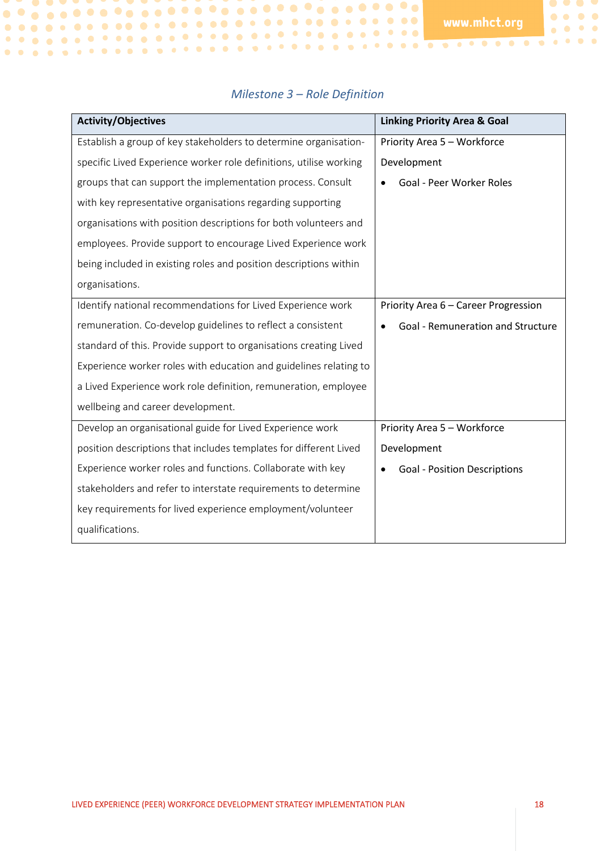$\bullet$   $\bullet$   $\bullet$ 

 $\begin{array}{ccccc}\bullet&\bullet&\bullet&\bullet\end{array}$  $\begin{array}{ccccc}\bullet&\bullet&\bullet&\bullet\end{array}$ 

| <b>Activity/Objectives</b>                                         | <b>Linking Priority Area &amp; Goal</b> |
|--------------------------------------------------------------------|-----------------------------------------|
| Establish a group of key stakeholders to determine organisation-   | Priority Area 5 - Workforce             |
| specific Lived Experience worker role definitions, utilise working | Development                             |
| groups that can support the implementation process. Consult        | Goal - Peer Worker Roles                |
| with key representative organisations regarding supporting         |                                         |
| organisations with position descriptions for both volunteers and   |                                         |
| employees. Provide support to encourage Lived Experience work      |                                         |
| being included in existing roles and position descriptions within  |                                         |
| organisations.                                                     |                                         |
| Identify national recommendations for Lived Experience work        | Priority Area 6 - Career Progression    |
| remuneration. Co-develop guidelines to reflect a consistent        | Goal - Remuneration and Structure       |
| standard of this. Provide support to organisations creating Lived  |                                         |
| Experience worker roles with education and guidelines relating to  |                                         |
| a Lived Experience work role definition, remuneration, employee    |                                         |
| wellbeing and career development.                                  |                                         |
| Develop an organisational guide for Lived Experience work          | Priority Area 5 - Workforce             |
| position descriptions that includes templates for different Lived  | Development                             |
| Experience worker roles and functions. Collaborate with key        | <b>Goal - Position Descriptions</b>     |
| stakeholders and refer to interstate requirements to determine     |                                         |
| key requirements for lived experience employment/volunteer         |                                         |
| qualifications.                                                    |                                         |

#### *Milestone 3 – Role Definition*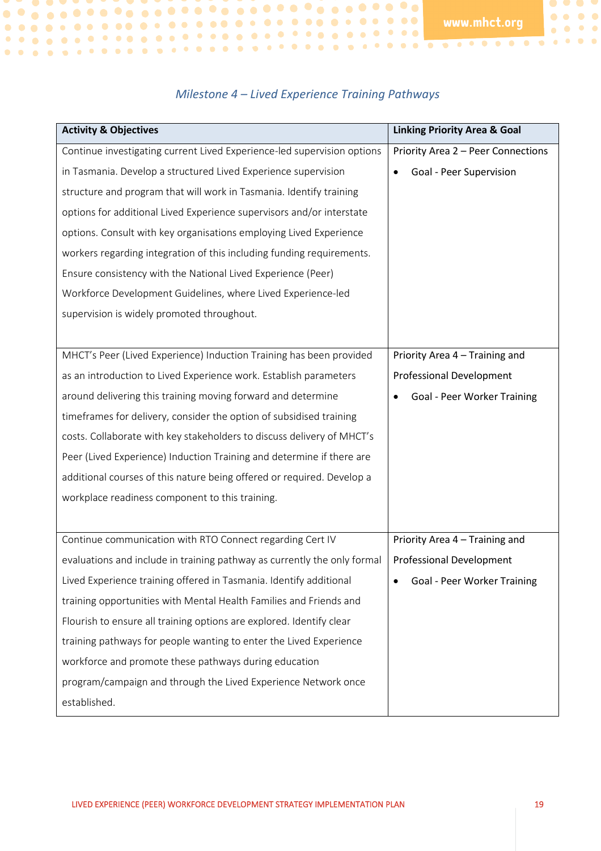$\bullet$   $\bullet$   $\bullet$ 

 $\bullet\bullet\bullet\bullet$  $\begin{array}{ccccc}\bullet&\bullet&\bullet&\bullet\end{array}$ 

## *Milestone 4 – Lived Experience Training Pathways*

| <b>Activity &amp; Objectives</b>                                         | <b>Linking Priority Area &amp; Goal</b> |
|--------------------------------------------------------------------------|-----------------------------------------|
| Continue investigating current Lived Experience-led supervision options  | Priority Area 2 - Peer Connections      |
| in Tasmania. Develop a structured Lived Experience supervision           | Goal - Peer Supervision                 |
| structure and program that will work in Tasmania. Identify training      |                                         |
| options for additional Lived Experience supervisors and/or interstate    |                                         |
| options. Consult with key organisations employing Lived Experience       |                                         |
| workers regarding integration of this including funding requirements.    |                                         |
| Ensure consistency with the National Lived Experience (Peer)             |                                         |
| Workforce Development Guidelines, where Lived Experience-led             |                                         |
| supervision is widely promoted throughout.                               |                                         |
|                                                                          |                                         |
| MHCT's Peer (Lived Experience) Induction Training has been provided      | Priority Area 4 - Training and          |
| as an introduction to Lived Experience work. Establish parameters        | <b>Professional Development</b>         |
| around delivering this training moving forward and determine             | <b>Goal - Peer Worker Training</b>      |
| timeframes for delivery, consider the option of subsidised training      |                                         |
| costs. Collaborate with key stakeholders to discuss delivery of MHCT's   |                                         |
| Peer (Lived Experience) Induction Training and determine if there are    |                                         |
| additional courses of this nature being offered or required. Develop a   |                                         |
| workplace readiness component to this training.                          |                                         |
|                                                                          |                                         |
| Continue communication with RTO Connect regarding Cert IV                | Priority Area 4 - Training and          |
| evaluations and include in training pathway as currently the only formal | <b>Professional Development</b>         |
| Lived Experience training offered in Tasmania. Identify additional       | Goal - Peer Worker Training             |
| training opportunities with Mental Health Families and Friends and       |                                         |
| Flourish to ensure all training options are explored. Identify clear     |                                         |
| training pathways for people wanting to enter the Lived Experience       |                                         |
| workforce and promote these pathways during education                    |                                         |
| program/campaign and through the Lived Experience Network once           |                                         |
| established.                                                             |                                         |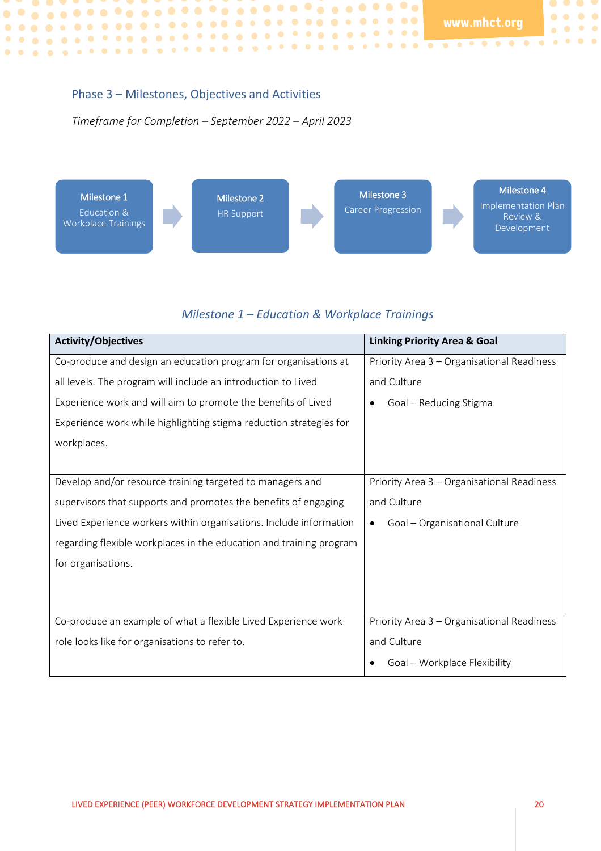$\bullet$   $\bullet$   $\bullet$  $\bullet\bullet\bullet\bullet$ 

 $\bullet\quad \bullet\quad \bullet\quad \bullet$ 

#### <span id="page-19-0"></span>Phase 3 – Milestones, Objectives and Activities

#### *Timeframe for Completion – September 2022 – April 2023*



#### *Milestone 1 – Education & Workplace Trainings*

| <b>Activity/Objectives</b>                                          | <b>Linking Priority Area &amp; Goal</b>    |
|---------------------------------------------------------------------|--------------------------------------------|
| Co-produce and design an education program for organisations at     | Priority Area 3 - Organisational Readiness |
| all levels. The program will include an introduction to Lived       | and Culture                                |
| Experience work and will aim to promote the benefits of Lived       | Goal - Reducing Stigma                     |
| Experience work while highlighting stigma reduction strategies for  |                                            |
| workplaces.                                                         |                                            |
|                                                                     |                                            |
| Develop and/or resource training targeted to managers and           | Priority Area 3 - Organisational Readiness |
| supervisors that supports and promotes the benefits of engaging     | and Culture                                |
| Lived Experience workers within organisations. Include information  | Goal - Organisational Culture<br>$\bullet$ |
| regarding flexible workplaces in the education and training program |                                            |
| for organisations.                                                  |                                            |
|                                                                     |                                            |
|                                                                     |                                            |
| Co-produce an example of what a flexible Lived Experience work      | Priority Area 3 - Organisational Readiness |
| role looks like for organisations to refer to.                      | and Culture                                |
|                                                                     | Goal - Workplace Flexibility               |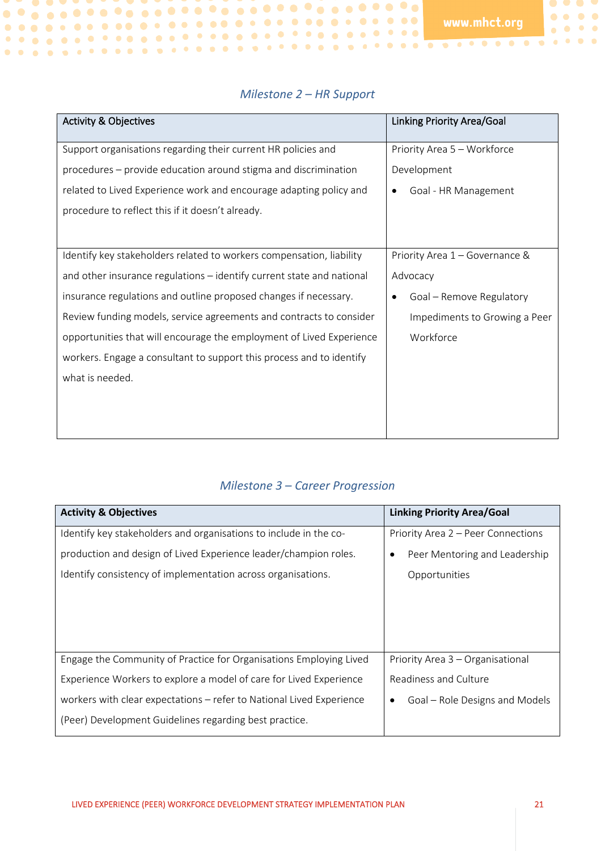$\bullet$   $\bullet$   $\bullet$  $\begin{array}{ccccc}\bullet&\bullet&\bullet&\bullet\end{array}$ 

 $\bullet \bullet \bullet \bullet \bullet$ 

| <b>Activity &amp; Objectives</b>                                      | <b>Linking Priority Area/Goal</b> |
|-----------------------------------------------------------------------|-----------------------------------|
| Support organisations regarding their current HR policies and         | Priority Area 5 - Workforce       |
| procedures – provide education around stigma and discrimination       | Development                       |
| related to Lived Experience work and encourage adapting policy and    | Goal - HR Management<br>٠         |
| procedure to reflect this if it doesn't already.                      |                                   |
|                                                                       |                                   |
| Identify key stakeholders related to workers compensation, liability  | Priority Area 1 - Governance &    |
| and other insurance regulations - identify current state and national | Advocacy                          |
| insurance regulations and outline proposed changes if necessary.      | Goal - Remove Regulatory<br>٠     |
| Review funding models, service agreements and contracts to consider   | Impediments to Growing a Peer     |
| opportunities that will encourage the employment of Lived Experience  | Workforce                         |
| workers. Engage a consultant to support this process and to identify  |                                   |
| what is needed.                                                       |                                   |
|                                                                       |                                   |
|                                                                       |                                   |
|                                                                       |                                   |

#### *Milestone 2 – HR Support*

#### *Milestone 3 – Career Progression*

| <b>Activity &amp; Objectives</b>                                     | <b>Linking Priority Area/Goal</b>  |
|----------------------------------------------------------------------|------------------------------------|
| Identify key stakeholders and organisations to include in the co-    | Priority Area 2 – Peer Connections |
| production and design of Lived Experience leader/champion roles.     | Peer Mentoring and Leadership      |
| Identify consistency of implementation across organisations.         | Opportunities                      |
|                                                                      |                                    |
|                                                                      |                                    |
|                                                                      |                                    |
| Engage the Community of Practice for Organisations Employing Lived   | Priority Area 3 - Organisational   |
| Experience Workers to explore a model of care for Lived Experience   | Readiness and Culture              |
| workers with clear expectations - refer to National Lived Experience | Goal – Role Designs and Models     |
| (Peer) Development Guidelines regarding best practice.               |                                    |